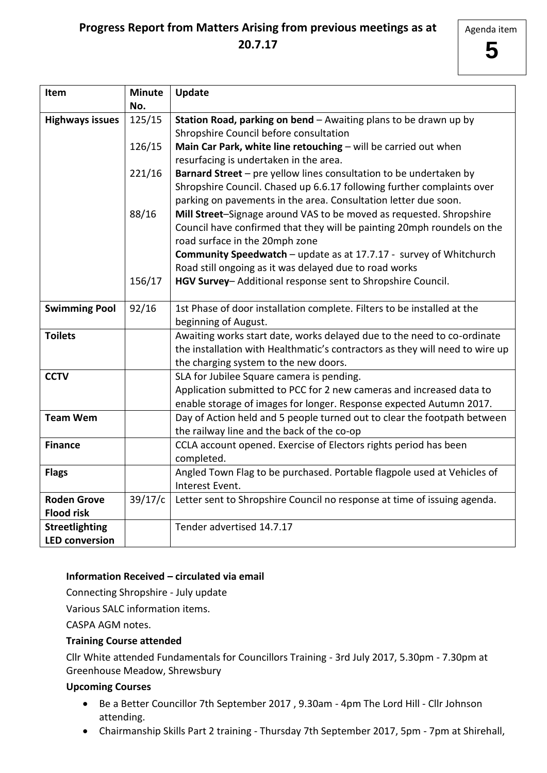## **Progress Report from Matters Arising from previous meetings as at 20.7.17**

Agenda item

**5**

| <b>Item</b>            | <b>Minute</b> | Update                                                                       |
|------------------------|---------------|------------------------------------------------------------------------------|
|                        | No.           |                                                                              |
| <b>Highways issues</b> | 125/15        | Station Road, parking on bend - Awaiting plans to be drawn up by             |
|                        |               | Shropshire Council before consultation                                       |
|                        | 126/15        | Main Car Park, white line retouching - will be carried out when              |
|                        |               | resurfacing is undertaken in the area.                                       |
|                        | 221/16        | Barnard Street - pre yellow lines consultation to be undertaken by           |
|                        |               | Shropshire Council. Chased up 6.6.17 following further complaints over       |
|                        |               | parking on pavements in the area. Consultation letter due soon.              |
|                        | 88/16         | Mill Street-Signage around VAS to be moved as requested. Shropshire          |
|                        |               | Council have confirmed that they will be painting 20mph roundels on the      |
|                        |               | road surface in the 20mph zone                                               |
|                        |               | Community Speedwatch - update as at 17.7.17 - survey of Whitchurch           |
|                        |               | Road still ongoing as it was delayed due to road works                       |
|                        | 156/17        | HGV Survey-Additional response sent to Shropshire Council.                   |
|                        |               |                                                                              |
| <b>Swimming Pool</b>   | 92/16         | 1st Phase of door installation complete. Filters to be installed at the      |
|                        |               | beginning of August.                                                         |
| <b>Toilets</b>         |               | Awaiting works start date, works delayed due to the need to co-ordinate      |
|                        |               | the installation with Healthmatic's contractors as they will need to wire up |
|                        |               | the charging system to the new doors.                                        |
| <b>CCTV</b>            |               | SLA for Jubilee Square camera is pending.                                    |
|                        |               | Application submitted to PCC for 2 new cameras and increased data to         |
|                        |               | enable storage of images for longer. Response expected Autumn 2017.          |
| <b>Team Wem</b>        |               | Day of Action held and 5 people turned out to clear the footpath between     |
|                        |               | the railway line and the back of the co-op                                   |
| <b>Finance</b>         |               | CCLA account opened. Exercise of Electors rights period has been             |
|                        |               | completed.                                                                   |
| <b>Flags</b>           |               | Angled Town Flag to be purchased. Portable flagpole used at Vehicles of      |
|                        |               | Interest Event.                                                              |
| <b>Roden Grove</b>     | 39/17/c       | Letter sent to Shropshire Council no response at time of issuing agenda.     |
| <b>Flood risk</b>      |               |                                                                              |
| <b>Streetlighting</b>  |               | Tender advertised 14.7.17                                                    |
| <b>LED conversion</b>  |               |                                                                              |

## **Information Received – circulated via email**

Connecting Shropshire - July update

Various SALC information items.

CASPA AGM notes.

#### **Training Course attended**

Cllr White attended Fundamentals for Councillors Training - 3rd July 2017, 5.30pm - 7.30pm at Greenhouse Meadow, Shrewsbury

## **Upcoming Courses**

- Be a Better Councillor 7th September 2017 , 9.30am 4pm The Lord Hill Cllr Johnson attending.
- Chairmanship Skills Part 2 training Thursday 7th September 2017, 5pm 7pm at Shirehall,